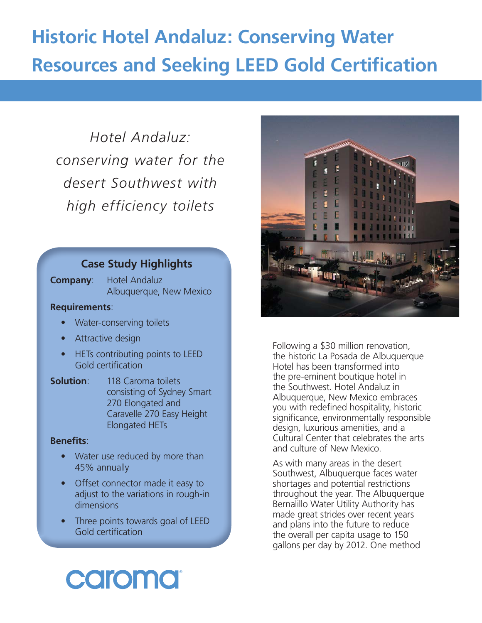# **Historic Hotel Andaluz: Conserving Water Resources and Seeking LEED Gold Certification**

*Hotel Andaluz: conserving water for the desert Southwest with high efficiency toilets* 

# **Case Study Highlights**

**Company**: Hotel Andaluz Albuquerque, New Mexico

# **Requirements**:

- Water-conserving toilets
- Attractive design
- HETs contributing points to LEED Gold certification
- **Solution:** 118 Caroma toilets consisting of Sydney Smart 270 Elongated and Caravelle 270 Easy Height Elongated HETs

# **Benefits:**

- Water use reduced by more than 45% annually
- Offset connector made it easy to adjust to the variations in rough-in dimensions
- Three points towards goal of LEED Gold certification



Following a \$30 million renovation, the historic La Posada de Albuquerque Hotel has been transformed into the pre-eminent boutique hotel in the Southwest. Hotel Andaluz in Albuquerque, New Mexico embraces you with redefined hospitality, historic significance, environmentally responsible design, luxurious amenities, and a Cultural Center that celebrates the arts and culture of New Mexico.

As with many areas in the desert Southwest, Albuquerque faces water shortages and potential restrictions throughout the year. The Albuquerque Bernalillo Water Utility Authority has made great strides over recent years and plans into the future to reduce the overall per capita usage to 150 gallons per day by 2012. One method

# caromat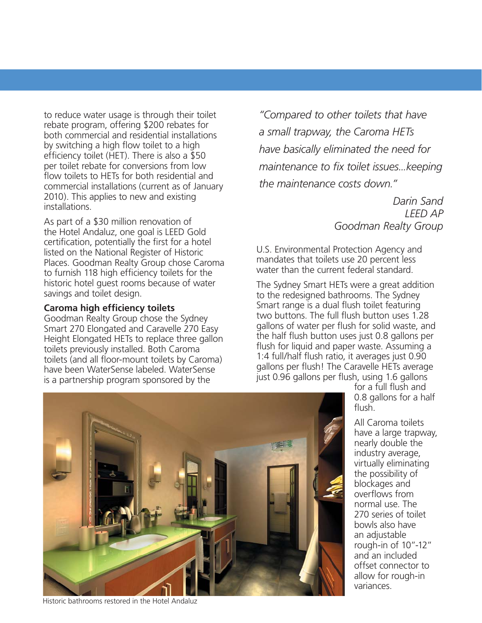to reduce water usage is through their toilet rebate program, offering \$200 rebates for both commercial and residential installations by switching a high flow toilet to a high efficiency toilet (HET). There is also a  $$50$ per toilet rebate for conversions from low flow toilets to HETs for both residential and commercial installations (current as of January 2010). This applies to new and existing installations.

As part of a \$30 million renovation of the Hotel Andaluz, one goal is LEED Gold certification, potentially the first for a hotel listed on the National Register of Historic Places. Goodman Realty Group chose Caroma to furnish 118 high efficiency toilets for the historic hotel guest rooms because of water savings and toilet design.

# **Caroma high efficiency toilets**

Goodman Realty Group chose the Sydney Smart 270 Elongated and Caravelle 270 Easy Height Elongated HETs to replace three gallon toilets previously installed. Both Caroma toilets (and all floor-mount toilets by Caroma) have been WaterSense labeled. WaterSense is a partnership program sponsored by the

*"Compared to other toilets that have a small trapway, the Caroma HETs have basically eliminated the need for maintenance to fix toilet issues...keeping the maintenance costs down."*

> *Darin Sand LEED AP Goodman Realty Group*

U.S. Environmental Protection Agency and mandates that toilets use 20 percent less water than the current federal standard.

The Sydney Smart HETs were a great addition to the redesigned bathrooms. The Sydney Smart range is a dual flush toilet featuring two buttons. The full flush button uses 1.28 gallons of water per flush for solid waste, and the half flush button uses just 0.8 gallons per flush for liquid and paper waste. Assuming a 1:4 full/half flush ratio, it averages just  $0.90$ gallons per flush! The Caravelle HETs average just 0.96 gallons per flush, using 1.6 gallons

> for a full flush and 0.8 gallons for a half flush.

All Caroma toilets have a large trapway, nearly double the industry average, virtually eliminating the possibility of blockages and overflows from normal use. The 270 series of toilet bowls also have an adjustable rough-in of 10"-12" and an included offset connector to allow for rough-in variances.



Historic bathrooms restored in the Hotel Andaluz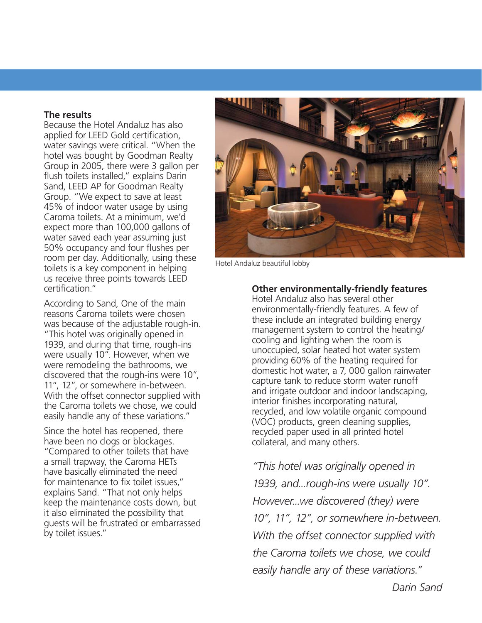## **The results**

Because the Hotel Andaluz has also applied for LEED Gold certification, water savings were critical. "When the hotel was bought by Goodman Realty Group in 2005, there were 3 gallon per flush toilets installed," explains Darin Sand, LEED AP for Goodman Realty Group. "We expect to save at least 45% of indoor water usage by using Caroma toilets. At a minimum, we'd expect more than 100,000 gallons of water saved each year assuming just 50% occupancy and four flushes per room per day. Additionally, using these toilets is a key component in helping us receive three points towards LEED certification."

According to Sand, One of the main reasons Caroma toilets were chosen was because of the adjustable rough-in. "This hotel was originally opened in 1939, and during that time, rough-ins were usually 10". However, when we were remodeling the bathrooms, we discovered that the rough-ins were 10", 11", 12", or somewhere in-between. With the offset connector supplied with the Caroma toilets we chose, we could easily handle any of these variations."

Since the hotel has reopened, there have been no clogs or blockages. "Compared to other toilets that have a small trapway, the Caroma HETs have basically eliminated the need for maintenance to fix toilet issues." explains Sand. "That not only helps keep the maintenance costs down, but it also eliminated the possibility that guests will be frustrated or embarrassed by toilet issues."



Hotel Andaluz beautiful lobby

# **Other environmentally-friendly features**

Hotel Andaluz also has several other environmentally-friendly features. A few of these include an integrated building energy management system to control the heating/ cooling and lighting when the room is unoccupied, solar heated hot water system providing 60% of the heating required for domestic hot water, a 7, 000 gallon rainwater capture tank to reduce storm water runoff and irrigate outdoor and indoor landscaping, interior finishes incorporating natural, recycled, and low volatile organic compound (VOC) products, green cleaning supplies, recycled paper used in all printed hotel collateral, and many others.

*"This hotel was originally opened in 1939, and...rough-ins were usually 10". However...we discovered (they) were 10", 11", 12", or somewhere in-between. With the offset connector supplied with the Caroma toilets we chose, we could easily handle any of these variations."*